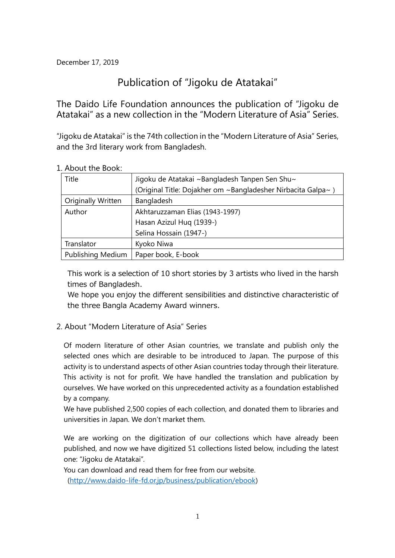December 17, 2019

# Publication of "Jigoku de Atatakai"

The Daido Life Foundation announces the publication of "Jigoku de Atatakai" as a new collection in the "Modern Literature of Asia" Series.

"Jigoku de Atatakai" is the 74th collection in the "Modern Literature of Asia" Series, and the 3rd literary work from Bangladesh.

| Title                     | Jigoku de Atatakai ~Bangladesh Tanpen Sen Shu~               |  |
|---------------------------|--------------------------------------------------------------|--|
|                           | (Original Title: Dojakher om ~Bangladesher Nirbacita Galpa~) |  |
| <b>Originally Written</b> | Bangladesh                                                   |  |
| Author                    | Akhtaruzzaman Elias (1943-1997)                              |  |
|                           | Hasan Azizul Hug (1939-)                                     |  |
|                           | Selina Hossain (1947-)                                       |  |
| Translator                | Kyoko Niwa                                                   |  |
| <b>Publishing Medium</b>  | Paper book, E-book                                           |  |

1. About the Book:

This work is a selection of 10 short stories by 3 artists who lived in the harsh times of Bangladesh.

We hope you enjoy the different sensibilities and distinctive characteristic of the three Bangla Academy Award winners.

2. About "Modern Literature of Asia" Series

Of modern literature of other Asian countries, we translate and publish only the selected ones which are desirable to be introduced to Japan. The purpose of this activity is to understand aspects of other Asian countries today through their literature. This activity is not for profit. We have handled the translation and publication by ourselves. We have worked on this unprecedented activity as a foundation established by a company.

We have published 2,500 copies of each collection, and donated them to libraries and universities in Japan. We don't market them.

We are working on the digitization of our collections which have already been published, and now we have digitized 51 collections listed below, including the latest one: "Jigoku de Atatakai".

You can download and read them for free from our website.

(http://www.daido-life-fd.or.jp/business/publication/ebook)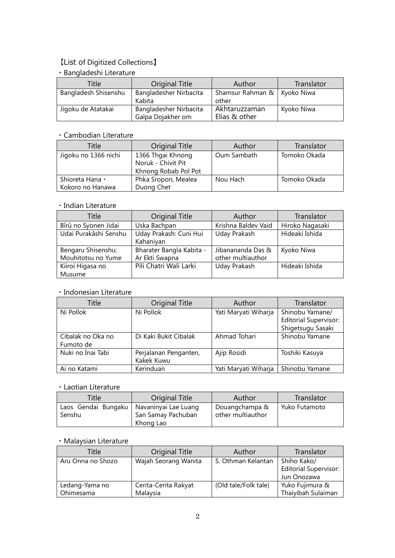## 【List of Digitized Collections】

## ・Bangladeshi Literature

| Title                | Original Title                              | Author                         | Translator |
|----------------------|---------------------------------------------|--------------------------------|------------|
| Bangladesh Shisenshu | Bangladesher Nirbacita<br>Kabita            | Shamsur Rahman &<br>other      | Kyoko Niwa |
| Jigoku de Atatakai   | Bangladesher Nirbacita<br>Galpa Dojakher om | Akhtaruzzaman<br>Elias & other | Kyoko Niwa |

### ・Cambodian Literature

| Title                | Original Title                          | Author      | Translator   |
|----------------------|-----------------------------------------|-------------|--------------|
| Jigoku no 1366 nichi | 1366 Thgai Khnong<br>Noruk - Chivit Pit | Oum Sambath | Tomoko Okada |
|                      | Khnong Robab Pol Pot                    |             |              |
| Shioreta Hana •      | Phka Sropon, Mealea                     | Nou Hach    | Tomoko Okada |
| Kokoro no Hanawa     | Duong Chet                              |             |              |

#### ・Indian Literature

| Title                                    | <b>Original Title</b>                      | Author                                 | Translator      |
|------------------------------------------|--------------------------------------------|----------------------------------------|-----------------|
| Bîrû no Syonen Jidai                     | Uska Bachpan                               | Krishna Baldev Vaid                    | Hiroko Nagasaki |
| Udai Purakâshi Senshu                    | Uday Prakash: Cuni Hui<br>Kahaniyan        | Uday Prakash                           | Hideaki Ishida  |
| Bengaru Shisenshu:<br>Mouhitotsu no Yume | Bharater Bangla Kabita -<br>Ar Ekti Swapna | Jibanananda Das &<br>other multiauthor | Kyoko Niwa      |
| Kiiroi Higasa no<br>Musume               | Pili Chatri Wali Larki                     | Uday Prakash                           | Hideaki Ishida  |

### ・Indonesian Literature

| Title                          | <b>Original Title</b>               | Author               | Translator                                                           |
|--------------------------------|-------------------------------------|----------------------|----------------------------------------------------------------------|
| Ni Pollok                      | Ni Pollok                           | Yati Maryati Wiharja | Shinobu Yamane/<br><b>Editorial Supervisor:</b><br>Shigetsugu Sasaki |
| Cibalak no Oka no<br>Fumoto de | Di Kaki Bukit Cibalak               | Ahmad Tohari         | Shinobu Yamane                                                       |
| Nuki no Inai Tabi              | Perjalanan Penganten,<br>Kakek Kuwu | Ajip Rosidi          | Toshiki Kasuya                                                       |
| Ai no Katami                   | Kerinduan                           | Yati Maryati Wiharja | Shinobu Yamane                                                       |

#### ・Laotian Literature

| Title                         | Original Title                                          | Author                              | Translator    |
|-------------------------------|---------------------------------------------------------|-------------------------------------|---------------|
| Laos Gendai Bungaku<br>Senshu | Navaninyai Lae Luang<br>San Samay Pachuban<br>Khong Lao | Douangchampa &<br>other multiauthor | Yuko Futamoto |

# ・Malaysian Literature

| Title             | Original Title       | Author               | Translator                   |
|-------------------|----------------------|----------------------|------------------------------|
| Aru Onna no Shozo | Wajah Seorang Wanita | S. Othman Kelantan   | Shiho Kako/                  |
|                   |                      |                      | <b>Editorial Supervisor:</b> |
|                   |                      |                      | Jun Onozawa                  |
| Ledang-Yama no    | Cerita-Cerita Rakyat | (Old tale/Folk tale) | Yuko Fujimura &              |
| Ohimesama         | Malaysia             |                      | Thaiyibah Sulaiman           |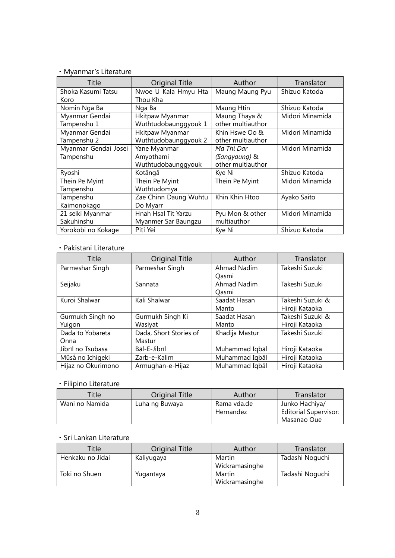# ・Myanmar's Literature

| Title                | <b>Original Title</b> | Author            | Translator      |
|----------------------|-----------------------|-------------------|-----------------|
| Shoka Kasumi Tatsu   | Nwoe U Kala Hmyu Hta  | Maung Maung Pyu   | Shizuo Katoda   |
| Koro                 | Thou Kha              |                   |                 |
| Nomin Nga Ba         | Nga Ba                | Maung Htin        | Shizuo Katoda   |
| Myanmar Gendai       | Hkitpaw Myanmar       | Maung Thaya &     | Midori Minamida |
| Tampenshu 1          | Wuthtudobaunggyouk 1  | other multiauthor |                 |
| Myanmar Gendai       | Hkitpaw Myanmar       | Khin Hswe Oo &    | Midori Minamida |
| Tampenshu 2          | Wuthtudobaunggyouk 2  | other multiauthor |                 |
| Myanmar Gendai Josei | Yane Myanmar          | Ma Thi Dar        | Midori Minamida |
| Tampenshu            | Amyothami             | (Sangyaung) &     |                 |
|                      | Wuthtudobaunggyouk    | other multiauthor |                 |
| Ryoshi               | Kotângâ               | Kye Ni            | Shizuo Katoda   |
| Thein Pe Myint       | Thein Pe Myint        | Thein Pe Myint    | Midori Minamida |
| Tampenshu            | Wuthtudomya           |                   |                 |
| Tampenshu            | Zae Chinn Daung Wuhtu | Khin Khin Htoo    | Ayako Saito     |
| Kaimonokago          | Do Myarr              |                   |                 |
| 21 seiki Myanmar     | Hnah Hsal Tit Yarzu   | Pyu Mon & other   | Midori Minamida |
| Sakuhinshu           | Myanmer Sar Baungzu   | multiauthor       |                 |
| Yorokobi no Kokage   | Piti Yei              | Kye Ni            | Shizuo Katoda   |

### ・Pakistani Literature

| Title              | <b>Original Title</b>  | Author             | Translator       |
|--------------------|------------------------|--------------------|------------------|
|                    |                        |                    |                  |
| Parmeshar Singh    | Parmeshar Singh        | Ahmad Nadim        | Takeshi Suzuki   |
|                    |                        | Oasmi              |                  |
| Seijaku            | Sannata                | <b>Ahmad Nadim</b> | Takeshi Suzuki   |
|                    |                        | Oasmi              |                  |
| Kuroi Shalwar      | Kali Shalwar           | Saadat Hasan       | Takeshi Suzuki & |
|                    |                        | Manto              | Hiroji Kataoka   |
| Gurmukh Singh no   | Gurmukh Singh Ki       | Saadat Hasan       | Takeshi Suzuki & |
| Yuigon             | Wasiyat                | Manto              | Hiroji Kataoka   |
| Dada to Yobareta   | Dada, Short Stories of | Khadija Mastur     | Takeshi Suzuki   |
| Onna               | Mastur                 |                    |                  |
| Jibrīl no Tsubasa  | Bāl-E-Jibrīl           | Muhammad Iqbāl     | Hiroji Kataoka   |
| Mûsâ no Ichigeki   | Zarb-e-Kalim           | Muhammad Iqbāl     | Hiroji Kataoka   |
| Hijaz no Okurimono | Armughan-e-Hijaz       | Muhammad Iqbāl     | Hiroji Kataoka   |

# ・Filipino Literature

| Title          | Original Title | Author                   | Translator                                                    |
|----------------|----------------|--------------------------|---------------------------------------------------------------|
| Wani no Namida | Luha ng Buwaya | Rama vda.de<br>Hernandez | Junko Hachiya/<br><b>Editorial Supervisor:</b><br>Masanao Oue |

### ・Sri Lankan Literature

| Title            | Original Title | Author                   | Translator      |
|------------------|----------------|--------------------------|-----------------|
| Henkaku no Jidai | Kaliyugaya     | Martin<br>Wickramasinghe | Tadashi Noguchi |
| Toki no Shuen    | Yugantaya      | Martin<br>Wickramasinghe | Tadashi Noguchi |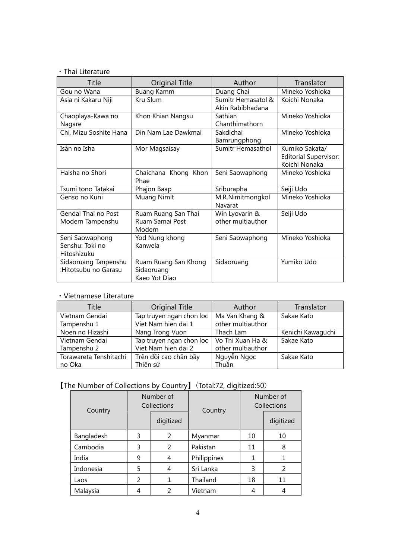### ・Thai Literature

| Title                                             | <b>Original Title</b>                               | Author                                 | Translator                                                      |
|---------------------------------------------------|-----------------------------------------------------|----------------------------------------|-----------------------------------------------------------------|
| Gou no Wana                                       | <b>Buang Kamm</b>                                   | Duang Chai                             | Mineko Yoshioka                                                 |
| Asia ni Kakaru Niji                               | Kru Slum                                            | Sumitr Hemasatol &<br>Akin Rabibhadana | Koichi Nonaka                                                   |
| Chaoplaya-Kawa no<br>Nagare                       | Khon Khian Nangsu                                   | Sathian<br>Chanthimathorn              | Mineko Yoshioka                                                 |
| Chi, Mizu Soshite Hana                            | Din Nam Lae Dawkmai                                 | Sakdichai<br>Bamrungphong              | Mineko Yoshioka                                                 |
| Isân no Isha                                      | Mor Magsaisay                                       | Sumitr Hemasathol                      | Kumiko Sakata/<br><b>Editorial Supervisor:</b><br>Koichi Nonaka |
| Haisha no Shori                                   | Chaichana Khong Khon<br>Phae                        | Seni Saowaphong                        | Mineko Yoshioka                                                 |
| Tsumi tono Tatakai                                | Phajon Baap                                         | Sriburapha                             | Seiji Udo                                                       |
| Genso no Kuni                                     | Muang Nimit                                         | M.R.Nimitmongkol<br>Navarat            | Mineko Yoshioka                                                 |
| Gendai Thai no Post<br>Modern Tampenshu           | Ruam Ruang San Thai<br>Ruam Samai Post<br>Modern    | Win Lyovarin &<br>other multiauthor    | Seiji Udo                                                       |
| Seni Saowaphong<br>Senshu: Toki no<br>Hitoshizuku | Yod Nung khong<br>Kanwela                           | Seni Saowaphong                        | Mineko Yoshioka                                                 |
| Sidaoruang Tanpenshu<br>:Hitotsubu no Garasu      | Ruam Ruang San Khong<br>Sidaoruang<br>Kaeo Yot Diao | Sidaoruang                             | Yumiko Udo                                                      |

## ・Vietnamese Literature

| Title                  | <b>Original Title</b>    | Author            | Translator        |  |
|------------------------|--------------------------|-------------------|-------------------|--|
| Vietnam Gendai         | Tap truyen ngan chon loc | Ma Van Khang &    | Sakae Kato        |  |
| Tampenshu 1            | Viet Nam hien dai 1      | other multiauthor |                   |  |
| Noen no Hizashi        | Nang Trong Vuon          | Thach Lam         | Kenichi Kawaguchi |  |
| Vietnam Gendai         | Tap truyen ngan chon loc | Vo Thi Xuan Ha &  | Sakae Kato        |  |
| Tampenshu 2            | Viet Nam hien dai 2      | other multiauthor |                   |  |
| Torawareta Tenshitachi | Trên đồi cao chăn bầy    | Nguyễn Ngọc       | Sakae Kato        |  |
| no Oka                 | Thiên sứ                 | Thuần             |                   |  |

# 【The Number of Collections by Country】(Total:72, digitized:50)

| Country    | Number of<br>Collections |               | Country     | Number of<br>Collections |               |
|------------|--------------------------|---------------|-------------|--------------------------|---------------|
|            |                          | digitized     |             |                          | digitized     |
| Bangladesh | 3                        | 2             | Myanmar     | 10                       | 10            |
| Cambodia   | 3                        | 2             | Pakistan    | 11                       | 8             |
| India      | 9                        | 4             | Philippines |                          |               |
| Indonesia  | 5                        | 4             | Sri Lanka   | 3                        | $\mathcal{P}$ |
| Laos       | $\mathfrak{p}$           | 1             | Thailand    | 18                       | 11            |
| Malaysia   | 4                        | $\mathcal{P}$ | Vietnam     |                          |               |